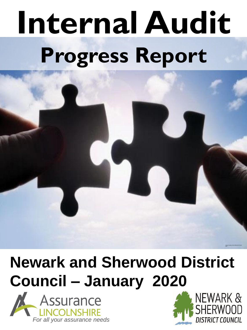# **Internal Audit Progress Report**

# **Newark and Sherwood District Council – January 2020**





Image Courtesy of the Official UK Puzzle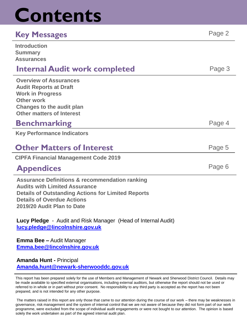# **Contents**

### **Key Messages** Page 2

| <b>Introduction</b><br><b>Summary</b><br><b>Assurances</b>                                                                                                                                                                        |        |
|-----------------------------------------------------------------------------------------------------------------------------------------------------------------------------------------------------------------------------------|--------|
| <b>Internal Audit work completed</b>                                                                                                                                                                                              | Page 3 |
| <b>Overview of Assurances</b><br><b>Audit Reports at Draft</b><br><b>Work in Progress</b><br><b>Other work</b><br><b>Changes to the audit plan</b><br><b>Other matters of Interest</b>                                            |        |
| <b>Benchmarking</b>                                                                                                                                                                                                               | Page 4 |
| <b>Key Performance Indicators</b>                                                                                                                                                                                                 |        |
| <b>Other Matters of Interest</b>                                                                                                                                                                                                  | Page 5 |
| <b>CIPFA Financial Management Code 2019</b>                                                                                                                                                                                       |        |
| <b>Appendices</b>                                                                                                                                                                                                                 | Page 6 |
| <b>Assurance Definitions &amp; recommendation ranking</b><br><b>Audits with Limited Assurance</b><br><b>Details of Outstanding Actions for Limited Reports</b><br><b>Details of Overdue Actions</b><br>2019/20 Audit Plan to Date |        |
| Lucy Pledge - Audit and Risk Manager (Head of Internal Audit)<br>lucy.pledge@lincolnshire.gov.uk                                                                                                                                  |        |

**Emma Bee –** Audit Manager **[Emma.bee@lincolnshire.gov.uk](mailto:rachel.abbott@lincolnshire.gov.uk)**

**Amanda Hunt -** Principal **[Amanda.hunt@newark-sherwooddc.gov.uk](mailto:Lucy.pledge@lincolnshire.gov.uk)**

This report has been prepared solely for the use of Members and Management of Newark and Sherwood District Council. Details may be made available to specified external organisations, including external auditors, but otherwise the report should not be used or referred to in whole or in part without prior consent. No responsibility to any third party is accepted as the report has not been prepared, and is not intended for any other purpose.

The matters raised in this report are only those that came to our attention during the course of our work – there may be weaknesses in governance, risk management and the system of internal control that we are not aware of because they did not form part of our work programme, were excluded from the scope of individual audit engagements or were not bought to our attention. The opinion is based solely the work undertaken as part of the agreed internal audit plan.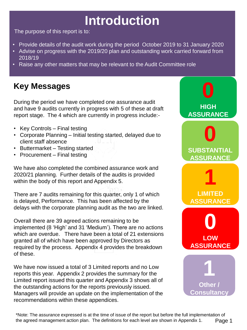# **Introduction**

The purpose of this report is to:

- Provide details of the audit work during the period October 2019 to 31 January 2020
- Advise on progress with the 2019/20 plan and outstanding work carried forward from 2018/19
- Raise any other matters that may be relevant to the Audit Committee role

### **Key Messages**

During the period we have completed one assurance audit and have 9 audits currently in progress with 5 of these at draft report stage. The 4 which are currently in progress include:-

- Key Controls Final testing
- Corporate Planning Initial testing started, delayed due to client staff absence
- Buttermarket Testing started
- Procurement Final testing

We have also completed the combined assurance work and 2020/21 planning. Further details of the audits is provided within the body of this report and Appendix 5.

There are 7 audits remaining for this quarter, only 1 of which is delayed, Performance. This has been affected by the delays with the corporate planning audit as the two are linked.

Overall there are 39 agreed actions remaining to be implemented (8 'High' and 31 'Medium'). There are no actions which are overdue. There have been a total of 21 extensions granted all of which have been approved by Directors as required by the process. Appendix 4 provides the breakdown of these.

We have now issued a total of 3 Limited reports and no Low reports this year. Appendix 2 provides the summary for the Limited report issued this quarter and Appendix 3 shows all of the outstanding actions for the reports previously issued. Managers will provide an update on the implementation of the recommendations within these appendices.



\*Note: The assurance expressed is at the time of issue of the report but before the full implementation of the agreed management action plan. The definitions for each level are shown in Appendix 1. Page 1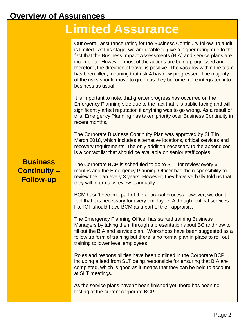#### **Overview of Assurances**

# **Limited Assurance**

Our overall assurance rating for the Business Continuity follow-up audit is limited. At this stage, we are unable to give a higher rating due to the fact that the Business Impact Assessments (BIA) and service plans are incomplete. However, most of the actions are being progressed and therefore, the direction of travel is positive. The vacancy within the team has been filled, meaning that risk 4 has now progressed. The majority of the risks should move to green as they become more integrated into business as usual.

It is important to note, that greater progress has occurred on the Emergency Planning side due to the fact that it is public facing and will significantly affect reputation if anything was to go wrong. As a result of this, Emergency Planning has taken priority over Business Continuity in recent months.

The Corporate Business Continuity Plan was approved by SLT in March 2018, which includes alternative locations, critical services and recovery requirements. The only addition necessary to the appendices is a contact list that should be available on senior staff copies.

#### **Business Continuity – Follow-up**

The Corporate BCP is scheduled to go to SLT for review every 6 months and the Emergency Planning Officer has the responsibility to review the plan every 3 years. However, they have verbally told us that they will informally review it annually.

BCM hasn't become part of the appraisal process however, we don't feel that it is necessary for every employee. Although, critical services like ICT should have BCM as a part of their appraisal.

The Emergency Planning Officer has started training Business Managers by taking them through a presentation about BC and how to fill out the BIA and service plan. Workshops have been suggested as a follow up form of training but there is no formal plan in place to roll out training to lower level employees.

Roles and responsibilities have been outlined in the Corporate BCP including a lead from SLT being responsible for ensuring that BIA are completed, which is good as it means that they can be held to account at SLT meetings.

As the service plans haven't been finished yet, there has been no testing of the current corporate BCP.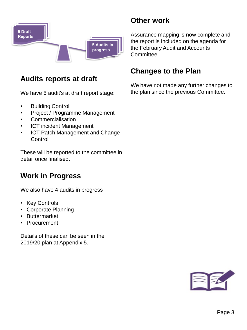

#### **Audits reports at draft**

We have 5 audit's at draft report stage:

- Building Control
- Project / Programme Management
- Commercialisation
- ICT incident Management
- ICT Patch Management and Change **Control**

These will be reported to the committee in detail once finalised.

#### **Work in Progress**

We also have 4 audits in progress :

- Key Controls
- Corporate Planning
- Buttermarket
- Procurement

Details of these can be seen in the 2019/20 plan at Appendix 5.

### **Other work**

Assurance mapping is now complete and the report is included on the agenda for the February Audit and Accounts Committee.

#### **Changes to the Plan**

We have not made any further changes to the plan since the previous Committee.

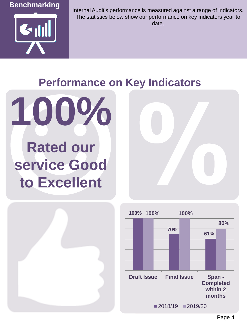



Internal Audit's performance is measured against a range of indicators. The statistics below show our performance on key indicators year to date.

# **Performance on Key Indicators**



# **Rated our service Good to Excellent**



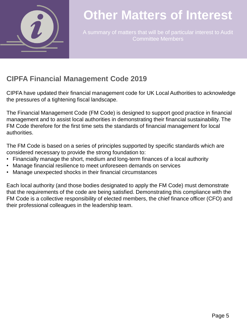

# **Other Matters of Interest**

A summary of matters that will be of particular interest to Audit Committee Members

#### **CIPFA Financial Management Code 2019**

CIPFA have updated their financial management code for UK Local Authorities to acknowledge the pressures of a tightening fiscal landscape.

The Financial Management Code (FM Code) is designed to support good practice in financial management and to assist local authorities in demonstrating their financial sustainability. The FM Code therefore for the first time sets the standards of financial management for local authorities.

The FM Code is based on a series of principles supported by specific standards which are considered necessary to provide the strong foundation to:

- Financially manage the short, medium and long-term finances of a local authority
- Manage financial resilience to meet unforeseen demands on services
- Manage unexpected shocks in their financial circumstances

Each local authority (and those bodies designated to apply the FM Code) must demonstrate that the requirements of the code are being satisfied. Demonstrating this compliance with the FM Code is a collective responsibility of elected members, the chief finance officer (CFO) and their professional colleagues in the leadership team.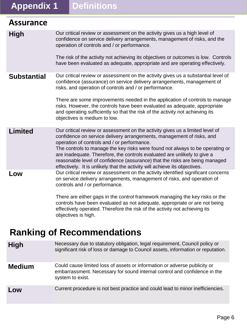# **Appendix 1 Definitions**

objectives is high.

**Ranking of Recommendations**

system to exist.

| <b>Assurance</b>   |                                                                                                                                                                                                                                                                                                                                                                                                                                                                                                                                 |
|--------------------|---------------------------------------------------------------------------------------------------------------------------------------------------------------------------------------------------------------------------------------------------------------------------------------------------------------------------------------------------------------------------------------------------------------------------------------------------------------------------------------------------------------------------------|
| <b>High</b>        | Our critical review or assessment on the activity gives us a high level of<br>confidence on service delivery arrangements, management of risks, and the<br>operation of controls and / or performance.<br>The risk of the activity not achieving its objectives or outcomes is low. Controls<br>have been evaluated as adequate, appropriate and are operating effectively.                                                                                                                                                     |
| <b>Substantial</b> | Our critical review or assessment on the activity gives us a substantial level of<br>confidence (assurance) on service delivery arrangements, management of<br>risks, and operation of controls and / or performance.<br>There are some improvements needed in the application of controls to manage<br>risks. However, the controls have been evaluated as adequate, appropriate<br>and operating sufficiently so that the risk of the activity not achieving its<br>objectives is medium to low.                              |
| <b>Limited</b>     | Our critical review or assessment on the activity gives us a limited level of<br>confidence on service delivery arrangements, management of risks, and<br>operation of controls and / or performance.<br>The controls to manage the key risks were found not always to be operating or<br>are inadequate. Therefore, the controls evaluated are unlikely to give a<br>reasonable level of confidence (assurance) that the risks are being managed<br>effectively. It is unlikely that the activity will achieve its objectives. |
| Low                | Our critical review or assessment on the activity identified significant concerns<br>on service delivery arrangements, management of risks, and operation of<br>controls and / or performance.<br>There are either gaps in the control framework managing the key risks or the<br>controls have been evaluated as not adequate, appropriate or are not being                                                                                                                                                                    |

effectively operated. Therefore the risk of the activity not achieving its

significant risk of loss or damage to Council assets, information or reputation.

embarrassment. Necessary for sound internal control and confidence in the

High Necessary due to statutory obligation, legal requirement, Council policy or

**Medium** Could cause limited loss of assets or information or adverse publicity or

**Low** Current procedure is not best practice and could lead to minor inefficiencies.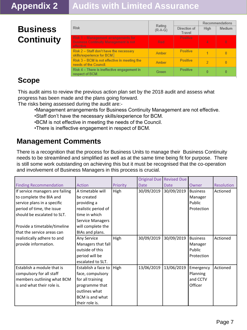# **Appendix 2 Audits with Limited Assurance**

# **Business Continuity**

|                                                                                                    |                   |                        | Recommendations |          |  |
|----------------------------------------------------------------------------------------------------|-------------------|------------------------|-----------------|----------|--|
| <b>Risk</b>                                                                                        | Rating<br>(R-A-G) | Direction of<br>Travel | High            | Medium   |  |
| Risk 1 - Management arrangements for<br><b>Business Continuity Management is not</b><br>effective. | Red               | Positive               | 4               | $\theta$ |  |
| Risk 2 - Staff don't have the necessary<br>skills/experience for BCM.                              | Amber             | <b>Positive</b>        |                 |          |  |
| Risk 3 – BCM is not effective in meeting the<br>needs of the Council.                              | Amber             | <b>Positive</b>        |                 | 0        |  |
| Risk 4 – There is ineffective engagement in<br>respect of BCM.                                     | Green             | Positive               |                 | 0        |  |

### **Scope**

This audit aims to review the previous action plan set by the 2018 audit and assess what progress has been made and the plans going forward.

The risks being assessed during the audit are:-

- •Management arrangements for Business Continuity Management are not effective.
- •Staff don't have the necessary skills/experience for BCM.
- •BCM is not effective in meeting the needs of the Council.
- •There is ineffective engagement in respect of BCM.

#### **Management Comments**

There is a recognition that the process for Business Units to manage their Business Continuity needs to be streamlined and simplified as well as at the same time being fit for purpose. There is still some work outstanding on achieving this but it must be recognised that the co-operation and involvement of Business Managers in this process is crucial.

|                                 |                         |          |             | Original Due Revised Due |                 |                   |
|---------------------------------|-------------------------|----------|-------------|--------------------------|-----------------|-------------------|
| <b>Finding Recommendation</b>   | Action                  | Priority | <b>Date</b> | Date                     | Owner           | <b>Resolution</b> |
| If service managers are failing | A timetable will        | High     | 30/09/2019  | 30/09/2019               | <b>Business</b> | Actioned          |
| to complete the BIA and         | be created              |          |             |                          | Manager         |                   |
| service plans in a specific     | providing a             |          |             |                          | Public          |                   |
| period of time, the issue       | realistic period of     |          |             |                          | Protection      |                   |
| should be escalated to SLT.     | time in which           |          |             |                          |                 |                   |
|                                 | <b>Service Managers</b> |          |             |                          |                 |                   |
| Provide a timetable/timeline    | will complete the       |          |             |                          |                 |                   |
| that the service areas can      | BIAs and plans.         |          |             |                          |                 |                   |
| realistically adhere to and     | Any Service             | High     | 30/09/2019  | 30/09/2019               | <b>Business</b> | Actioned          |
| provide information.            | Managers that fall      |          |             |                          | Manager         |                   |
|                                 | outside of this         |          |             |                          | Public          |                   |
|                                 | period will be          |          |             |                          | Protection      |                   |
|                                 | escalated to SLT.       |          |             |                          |                 |                   |
| Establish a module that is      | Establish a face to     | High     | 13/06/2019  | 13/06/2019               | Emergency       | Actioned          |
| compulsory for all staff        | face, compulsory        |          |             |                          | Planning        |                   |
| members outlining what BCM      | for all training        |          |             |                          | and CCTV        |                   |
| l is and what their role is.    | programme that          |          |             |                          | Officer         |                   |
|                                 | outlines what           |          |             |                          |                 |                   |
|                                 | BCM is and what         |          |             |                          |                 |                   |
|                                 | their role is.          |          |             |                          |                 |                   |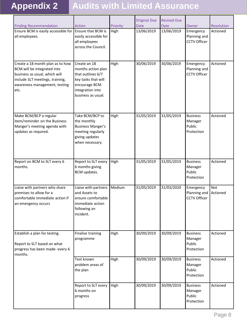# **Appendix 2 Audits with Limited Assurance**

| <b>Finding Recommendation</b>                                                                                                                                                | Action                                                                                                                                    | Priority | <b>Original Due</b><br><b>Date</b> | <b>Revised Due</b><br>Date | Owner                                              | Resolution             |
|------------------------------------------------------------------------------------------------------------------------------------------------------------------------------|-------------------------------------------------------------------------------------------------------------------------------------------|----------|------------------------------------|----------------------------|----------------------------------------------------|------------------------|
| Ensure BCM is easily accessible for<br>all employees.                                                                                                                        | Ensure that BCM is<br>easily accessible for<br>all employees<br>across the Council.                                                       | High     | 13/06/2019                         | 13/06/2019                 | Emergency<br>Planning and<br><b>CCTV Officer</b>   | Actioned               |
| Create a 18 month plan as to how<br>BCM will be integrated into<br>business as usual, which will<br>include SLT meetings, training,<br>awareness management, testing<br>etc. | Create an 18<br>months action plan<br>that outlines 6/7<br>key tasks that will<br>encourage BCM<br>integration into<br>business as usual. | High     | 30/06/2019                         | 30/06/2019                 | Emergency<br>Planning and<br><b>CCTV Officer</b>   | Actioned               |
| Make BCM/BCP a regular<br>item/reminder on the Business<br>Manger's meeting agenda with<br>updates as required.                                                              | Take BCM/BCP to<br>the monthly<br><b>Business Manger's</b><br>meeting regularly<br>giving updates<br>when necessary.                      | High     | 31/05/2019                         | 31/05/2019                 | <b>Business</b><br>Manager<br>Public<br>Protection | Actioned               |
| Report on BCM to SLT every 6<br>months.                                                                                                                                      | Report to SLT every<br>6 months giving<br>BCM updates.                                                                                    | High     | 31/05/2019                         | 31/05/2019                 | <b>Business</b><br>Manager<br>Public<br>Protection | Actioned               |
| Liaise with partners who share<br>premises to allow for a<br>comfortable immediate action if<br>an emergency occurs                                                          | Liaise with partners<br>and Assets to<br>ensure comfortable<br>immediate action<br>following an<br>incident.                              | Medium   | 31/05/2019                         | 31/03/2020                 | Emergency<br>Planning and<br><b>CCTV Officer</b>   | <b>Not</b><br>Actioned |
| Establish a plan for testing.<br>Report to SLT based on what<br>progress has been made- every 6<br>months.                                                                   | Finalise training<br>programme                                                                                                            | High     | 30/09/2019                         | 30/09/2019                 | <b>Business</b><br>Manager<br>Public<br>Protection | Actioned               |
|                                                                                                                                                                              | Test known<br>problem areas of<br>the plan                                                                                                | High     | 30/09/2019                         | 30/09/2019                 | <b>Business</b><br>Manager<br>Public<br>Protection | Actioned               |
|                                                                                                                                                                              | Report to SLT every<br>6 months on<br>progress                                                                                            | High     | 30/09/2019                         | 30/09/2019                 | <b>Business</b><br>Manager<br>Public<br>Protection | Actioned               |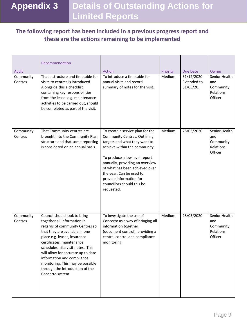# **Appendix 3 Details of Outstanding Actions for Limited Reports**

#### **The following report has been included in a previous progress report and these are the actions remaining to be implemented**

|                               | Recommendation                                                                                                                                                                                                                                                                                                                                                                                    |                                                                                                                                                                                                                                                                                                                                                    |                    |                                                           |                                                                    |
|-------------------------------|---------------------------------------------------------------------------------------------------------------------------------------------------------------------------------------------------------------------------------------------------------------------------------------------------------------------------------------------------------------------------------------------------|----------------------------------------------------------------------------------------------------------------------------------------------------------------------------------------------------------------------------------------------------------------------------------------------------------------------------------------------------|--------------------|-----------------------------------------------------------|--------------------------------------------------------------------|
| Audit<br>Community<br>Centres | That a structure and timetable for<br>visits to centres is introduced.<br>Alongside this a checklist<br>containing key responsibilities<br>from the lease e.g. maintenance<br>activities to be carried out, should<br>be completed as part of the visit.                                                                                                                                          | Action<br>To introduce a timetable for<br>annual visits and record<br>summary of notes for the visit.                                                                                                                                                                                                                                              | Priority<br>Medium | Due Date<br>31/12/2020<br><b>Extended to</b><br>31/03/20. | Owner<br>Senior Health<br>and<br>Community<br>Relations<br>Officer |
| Community<br>Centres          | That Community centres are<br>brought into the Community Plan<br>structure and that some reporting<br>is considered on an annual basis.                                                                                                                                                                                                                                                           | To create a service plan for the<br><b>Community Centres. Outlining</b><br>targets and what they want to<br>achieve within the community.<br>To produce a low level report<br>annually, providing an overview<br>of what has been achieved over<br>the year. Can be used to<br>provide information for<br>councillors should this be<br>requested. | Medium             | 28/03/2020                                                | Senior Health<br>and<br>Community<br>Relations<br>Officer          |
| Community<br>Centres          | Council should look to bring<br>together all information in<br>regards of community Centres so<br>that they are available in one<br>place e.g. leases, insurance<br>certificates, maintenance<br>schedules, site visit notes. This<br>will allow for accurate up to date<br>information and compliance<br>monitoring. This may be possible<br>through the introduction of the<br>Concerto system. | To investigate the use of<br>Concerto as a way of bringing all<br>information together<br>(document control), providing a<br>central control and compliance<br>monitoring.                                                                                                                                                                         | Medium             | 28/03/2020                                                | Senior Health<br>and<br>Community<br>Relations<br>Officer          |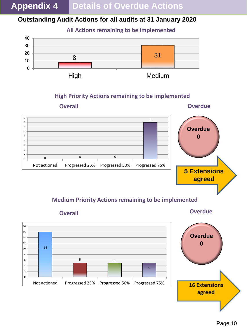**Appendix 4 Details of Overdue Actions**

#### **Outstanding Audit Actions for all audits at 31 January 2020**



#### **High Priority Actions remaining to be implemented**



#### **Medium Priority Actions remaining to be implemented**



Page 10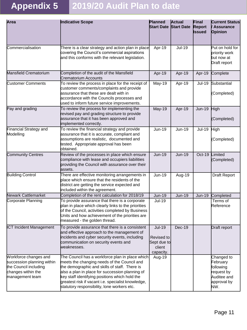# **Appendix 5 2019/20 Audit Plan to date**

| Area                                                                                                                  | Indicative Scope                                                                                                                                                                                                                                                                                                                                          | Planned<br><b>Start Date Start Date</b>                           | <b>Actual</b> | Final<br><b>Report</b><br><b>Issued</b> | <b>Current Status</b><br><b>Assurance</b><br>Opinion                                   |
|-----------------------------------------------------------------------------------------------------------------------|-----------------------------------------------------------------------------------------------------------------------------------------------------------------------------------------------------------------------------------------------------------------------------------------------------------------------------------------------------------|-------------------------------------------------------------------|---------------|-----------------------------------------|----------------------------------------------------------------------------------------|
| Commercialisation                                                                                                     | There is a clear strategy and action plan in place<br>covering the Council's commercial aspirations<br>and this conforms with the relevant legislation.                                                                                                                                                                                                   | Apr-19                                                            | <b>Jul-19</b> |                                         | Put on hold for<br>priority work<br>but now at<br>Draft report                         |
| Mansfield Crematorium                                                                                                 | Completion of the audit of the Mansfield<br>Crematorium Accounts                                                                                                                                                                                                                                                                                          | Apr-19                                                            | Apr-19        | Apr-19                                  | Complete                                                                               |
| <b>Customer Comments</b>                                                                                              | To review the process in place for the receipt of<br>customer comments/complaints and provide<br>assurance that these are dealt with in<br>accordance with the Councils processes and<br>used to inform future service improvements.                                                                                                                      | May-19                                                            | Apr-19        | <b>Jul-19</b>                           | Substantial<br>(Completed)                                                             |
| Pay and grading                                                                                                       | To review the process for implementing the<br>revised pay and grading structure to provide<br>assurance that it has been approved and<br>implemented correctly.                                                                                                                                                                                           | <b>May-19</b>                                                     | Apr-19        | <b>Jun-19</b>                           | High<br>(Completed)                                                                    |
| Financial Strategy and<br>Modelling                                                                                   | To review the financial strategy and provide<br>assurance that it is accurate, compliant and<br>assumptions are realistic, documented and<br>tested. Appropriate approval has been<br>obtained.                                                                                                                                                           | <b>Jun-19</b>                                                     | Jun-19        | <b>Jul-19</b>                           | High<br>(Completed)                                                                    |
| <b>Community Centres</b>                                                                                              | Review of the processes in place which ensure<br>compliance with lease and occupiers liabilities<br>providing the Council with assurance over their<br>lassets.                                                                                                                                                                                           | <b>Jun-19</b>                                                     | <b>Jun-19</b> | Oct-19                                  | Limited<br>(Completed)                                                                 |
| <b>Building Control</b>                                                                                               | There are effective monitoring arrangements in<br>place which ensure that the residents of the<br>district are getting the service expected and<br>included within the agreement.                                                                                                                                                                         | <b>Jun-19</b>                                                     | Aug-19        |                                         | <b>Draft Report</b>                                                                    |
| Newark Cattlemarket                                                                                                   | Completion of the rent calculation for 2018/19                                                                                                                                                                                                                                                                                                            | <b>Jun-19</b>                                                     | <b>Jun-19</b> | $Jun-19$                                | Completed                                                                              |
| Corporate Planning                                                                                                    | To provide assurance that there is a corporate<br>plan in place which clearly links to the priorities<br>of the Council, activities completed by Business<br>Units and how achievement of the priorities are<br>measured - the golden thread.                                                                                                             | <b>Jul-19</b>                                                     |               |                                         | Terms of<br>Reference                                                                  |
| <b>ICT Incident Management</b>                                                                                        | To provide assurance that there is a consistent<br>and effective approach to the management of<br>incidents and cyber security events, including<br>communication on security events and<br>weaknesses.                                                                                                                                                   | <b>Jul-19</b><br>Revised to<br>Sept due to<br>client<br>capacity. | $Dec-19$      |                                         | <b>Draft report</b>                                                                    |
| Workforce changes and<br>succession planning within<br>the Council including<br>changes within the<br>management team | The Council has a workforce plan in place which<br>meets the changing needs of the Council and<br>the demographic and skills of staff. There is<br>also a plan in place for succession planning of<br>key staff identifying positions which hold the<br>greatest risk if vacant i.e. specialist knowledge,<br>statutory responsibility, lone workers etc. | Aug-19                                                            |               |                                         | Changed to<br>February<br>following<br>request by<br>Auditee and<br>approval by<br>NW. |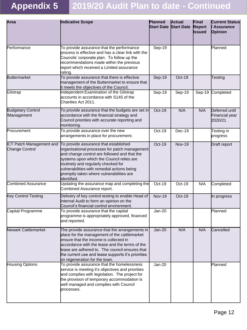# **Appendix 5 2019/20 Audit Plan to date - Continued**

| Area                                       | Indicative Scope                                                                                                                                                                                                                                                                                                                     | Planned<br><b>Start Date Start Date</b> | <b>Actual</b> | Final<br><b>Report</b><br><b>Issued</b> | <b>Current Status</b><br><b>Assurance</b><br>Opinion |
|--------------------------------------------|--------------------------------------------------------------------------------------------------------------------------------------------------------------------------------------------------------------------------------------------------------------------------------------------------------------------------------------|-----------------------------------------|---------------|-----------------------------------------|------------------------------------------------------|
| Performance                                | To provide assurance that the performance<br>process is effective and has a clear link with the<br>Councils' corporate plan. To follow up the<br>recommendations made within the previous<br>report which received a Limited assurance<br>rating.                                                                                    | $Sep-19$                                |               |                                         | Planned                                              |
| <b>Buttermarket</b>                        | To provide assurance that there is effective<br>management of the Buttermarket to ensure that<br>it meets the objectives of the Council.                                                                                                                                                                                             | <b>Sep-19</b>                           | Oct-19        |                                         | Testing                                              |
| Gilstrap                                   | Independent Examination of the Gilstrap<br>accounts in accordance with S145 of the<br>Charities Act 2011.                                                                                                                                                                                                                            | Sep-19                                  | Sep-19        |                                         | Sep-19 Completed                                     |
| <b>Budgetary Control</b><br>/Management    | To provide assurance that the budgets are set in<br>accordance with the financial strategy and<br>Council priorities with accurate reporting and<br>monitoring.                                                                                                                                                                      | Oct-19                                  | N/A           | N/A                                     | Deferred until<br>Financial year<br>2020/21          |
| Procurement                                | To provide assurance over the new<br>arrangements in place for procurement.                                                                                                                                                                                                                                                          | Oct-19                                  | Dec-19        |                                         | Testing in<br>progress                               |
| ICT Patch Management and<br>Change Control | To provide assurance that established<br>organisational processes for patch management<br>and change control are followed and that the<br>systems upon which the Council relies are<br>routinely and regularly checked for<br>vulnerabilities with remedial actions being<br>promptly taken where vulnerabilities are<br>identified. | Oct-19                                  | <b>Nov-19</b> |                                         | Draft report                                         |
| <b>Combined Assurance</b>                  | Updating the assurance map and completing the<br>Combined Assurance report.                                                                                                                                                                                                                                                          | Oct-19                                  | Oct-19        | N/A                                     | Completed                                            |
| <b>Key Control Testing</b>                 | Delivery of key control testing to enable Head of<br>Internal Audit to form an opinion on the<br>Council's financial control environment.                                                                                                                                                                                            | <b>Nov-19</b>                           | Oct-19        |                                         | In progress                                          |
| Capital Programme                          | To provide assurance that the capital<br>programme is appropriately approved, financed<br>land reported.                                                                                                                                                                                                                             | <b>Jan-20</b>                           |               |                                         | Planned                                              |
| <b>Newark Cattlemarket</b>                 | The provide assurance that the arrangements in<br>place for the management of the cattlemarket<br>ensure that the income is collected in<br>accordance with the lease and the terms of the<br>lease are adhered to. The council ensures that<br>the current use and lease supports it's priorities<br>on regeneration for the town.  | $Jan-20$                                | N/A           | N/A                                     | Cancelled                                            |
| Housing Options                            | To provide assurance that the homelessness<br>service is meeting it's objectives and priorities<br>and complies with legislation. The project for<br>the provision of temporary accommodation is<br>well managed and complies with Council<br>processes.                                                                             | $Jan-20$                                |               |                                         | Planned                                              |